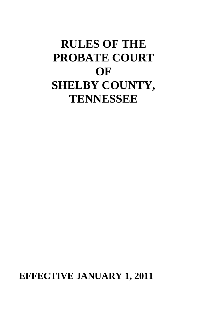# **RULES OF THE PROBATE COURT OF SHELBY COUNTY, TENNESSEE**

**EFFECTIVE JANUARY 1, 2011**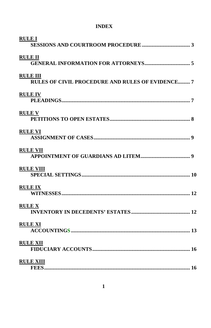# **INDEX**

| <b>RULE I</b>  |                                                                            |  |
|----------------|----------------------------------------------------------------------------|--|
| <b>RULE II</b> |                                                                            |  |
|                | <b>RULE III</b><br><b>RULES OF CIVIL PROCEDURE AND RULES OF EVIDENCE 7</b> |  |
|                | <b>RULEIV</b>                                                              |  |
| <b>RULE V</b>  |                                                                            |  |
|                | <b>RULE VI</b>                                                             |  |
|                | <b>RULE VII</b>                                                            |  |
|                | <b>RULE VIII</b>                                                           |  |
|                | <b>RULE IX</b>                                                             |  |
| <b>RULE X</b>  |                                                                            |  |
|                | <b>RULE XI</b>                                                             |  |
|                | <b>RULE XII</b>                                                            |  |
|                | <b>RULE XIII</b>                                                           |  |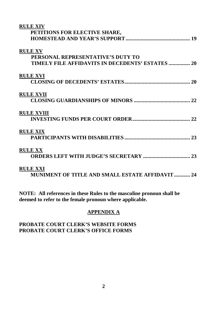| <b>RULE XIV</b>                                  |  |
|--------------------------------------------------|--|
| PETITIONS FOR ELECTIVE SHARE,                    |  |
|                                                  |  |
| <b>RULE XV</b>                                   |  |
| PERSONAL REPRESENTATIVE'S DUTY TO                |  |
| TIMELY FILE AFFIDAVITS IN DECEDENTS' ESTATES  20 |  |
| <b>RULE XVI</b>                                  |  |
|                                                  |  |
| <b>RULE XVII</b>                                 |  |
|                                                  |  |
| <b>RULE XVIII</b>                                |  |
|                                                  |  |
| <b>RULE XIX</b>                                  |  |
|                                                  |  |
| <b>RULE XX</b>                                   |  |
|                                                  |  |
| <b>RULE XXI</b>                                  |  |
| MUNIMENT OF TITLE AND SMALL ESTATE AFFIDAVIT  24 |  |

**NOTE: All references in these Rules to the masculine pronoun shall be deemed to refer to the female pronoun where applicable.**

# **APPENDIX A**

# **PROBATE COURT CLERK'S WEBSITE FORMS PROBATE COURT CLERK'S OFFICE FORMS**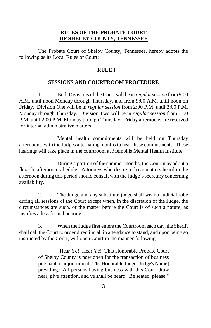# **RULES OF THE PROBATE COURT OF SHELBY COUNTY, TENNESSEE**

The Probate Court of Shelby County, Tennessee, hereby adopts the following as its Local Rules of Court:

# **RULE I**

## **SESSIONS AND COURTROOM PROCEDURE**

1. Both Divisions of the Court will be in *regular session* from 9:00 A.M. until noon Monday through Thursday, and from 9:00 A.M. until noon on Friday. Division One will be in *regular session* from 2:00 P.M. until 3:00 P.M. Monday through Thursday. Division Two will be in *regular session* from 1:00 P.M. until 2:00 P.M. Monday through Thursday. Friday afternoons are reserved for internal administrative matters.

Mental health commitments will be held on Thursday afternoons, with the Judges alternating months to hear these commitments. These hearings will take place in the courtroom at Memphis Mental Health Institute.

During a portion of the summer months, the Court may adopt a flexible afternoon schedule. Attorneys who desire to have matters heard in the afternoon during this period should consult with the Judge's secretary concerning availability.

2. The Judge and any substitute judge shall wear a Judicial robe during all sessions of the Court except when, in the discretion of the Judge, the circumstances are such, or the matter before the Court is of such a nature, as justifies a less formal hearing.

3. When the Judge first enters the Courtroom each day, the Sheriff shall call the Court to order directing all in attendance to stand, and upon being so instructed by the Court, will open Court in the manner following:

> "Hear Ye! Hear Ye! This Honorable Probate Court of Shelby County is now open for the transaction of business pursuant to adjournment. The Honorable Judge [Judge's Name] presiding. All persons having business with this Court draw near, give attention, and ye shall be heard. Be seated, please."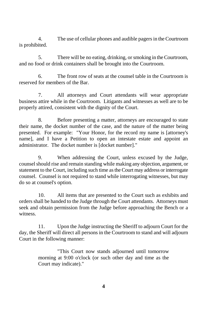4. The use of cellular phones and audible pagers in the Courtroom is prohibited.

5. There will be no eating, drinking, or smoking in the Courtroom, and no food or drink containers shall be brought into the Courtroom.

6. The front row of seats at the counsel table in the Courtroom is reserved for members of the Bar.

7. All attorneys and Court attendants will wear appropriate business attire while in the Courtroom. Litigants and witnesses as well are to be properly attired, consistent with the dignity of the Court.

8. Before presenting a matter, attorneys are encouraged to state their name, the docket number of the case, and the nature of the matter being presented. For example: "Your Honor, for the record my name is [attorney's name], and I have a Petition to open an intestate estate and appoint an administrator. The docket number is [docket number]."

9. When addressing the Court, unless excused by the Judge, counsel should rise and remain standing while making any objection, argument, or statement to the Court, including such time as the Court may address or interrogate counsel. Counsel is not required to stand while interrogating witnesses, but may do so at counsel's option.

10. All items that are presented to the Court such as exhibits and orders shall be handed to the Judge through the Court attendants. Attorneys must seek and obtain permission from the Judge before approaching the Bench or a witness.

11. Upon the Judge instructing the Sheriff to adjourn Court for the day, the Sheriff will direct all persons in the Courtroom to stand and will adjourn Court in the following manner:

> "This Court now stands adjourned until tomorrow morning at 9:00 o'clock (or such other day and time as the Court may indicate)."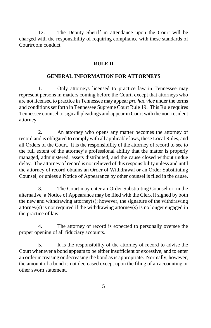12. The Deputy Sheriff in attendance upon the Court will be charged with the responsibility of requiring compliance with these standards of Courtroom conduct.

# **RULE II**

## **GENERAL INFORMATION FOR ATTORNEYS**

1. Only attorneys licensed to practice law in Tennessee may represent persons in matters coming before the Court, except that attorneys who are not licensed to practice in Tennessee may appear *pro hac vice* under the terms and conditions set forth in Tennessee Supreme Court Rule 19. This Rule requires Tennessee counsel to sign all pleadings and appear in Court with the non-resident attorney.

2. An attorney who opens any matter becomes the attorney of record and is obligated to comply with all applicable laws, these Local Rules, and all Orders of the Court. It is the responsibility of the attorney of record to see to the full extent of the attorney's professional ability that the matter is properly managed, administered, assets distributed, and the cause closed without undue delay. The attorney of record is not relieved of this responsibility unless and until the attorney of record obtains an Order of Withdrawal or an Order Substituting Counsel, or unless a Notice of Appearance by other counsel is filed in the cause.

3. The Court may enter an Order Substituting Counsel or, in the alternative, a Notice of Appearance may be filed with the Clerk if signed by both the new and withdrawing attorney(s); however, the signature of the withdrawing attorney(s) is not required if the withdrawing attorney(s) is no longer engaged in the practice of law.

4. The attorney of record is expected to personally oversee the proper opening of all fiduciary accounts.

5. It is the responsibility of the attorney of record to advise the Court whenever a bond appears to be either insufficient or excessive, and to enter an order increasing or decreasing the bond as is appropriate. Normally, however, the amount of a bond is not decreased except upon the filing of an accounting or other sworn statement.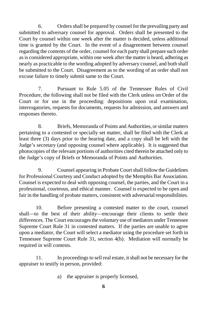6. Orders shall be prepared by counsel for the prevailing party and submitted to adversary counsel for approval. Orders shall be presented to the Court by counsel within one week after the matter is decided, unless additional time is granted by the Court. In the event of a disagreement between counsel regarding the contents of the order, counsel for each party shall prepare such order as is considered appropriate, within one week after the matter is heard, adhering as nearly as practicable to the wording adopted by adversary counsel, and both shall be submitted to the Court. Disagreement as to the wording of an order shall not excuse failure to timely submit same to the Court.

7. Pursuant to Rule 5.05 of the Tennessee Rules of Civil Procedure, the following shall not be filed with the Clerk unless on Order of the Court or for use in the proceeding: depositions upon oral examination, interrogatories, requests for documents, requests for admission, and answers and responses thereto.

8. Briefs, Memoranda of Points and Authorities, or similar matters pertaining to a contested or specially set matter, shall be filed with the Clerk at least three (3) days prior to the hearing date, and a copy shall be left with the Judge's secretary (and opposing counsel where applicable). It is suggested that photocopies of the relevant portions of authorities cited therein be attached only to the Judge's copy of Briefs or Memoranda of Points and Authorities.

9. Counsel appearing in Probate Court shall follow the Guidelines for Professional Courtesy and Conduct adopted by the Memphis Bar Association. Counsel is expected to deal with opposing counsel, the parties, and the Court in a professional, courteous, and ethical manner. Counsel is expected to be open and fair in the handling of probate matters, consistent with adversarial responsibilities.

10. Before presenting a contested matter to the court, counsel shall—to the best of their ability—encourage their clients to settle their differences. The Court encourages the voluntary use of mediators under Tennessee Supreme Court Rule 31 in contested matters. If the parties are unable to agree upon a mediator, the Court will select a mediator using the procedure set forth in Tennessee Supreme Court Rule 31, section 4(b). Mediation will normally be required in will contests.

11. In proceedings to sell real estate, it shall not be necessary for the appraiser to testify in person, provided:

a) the appraiser is properly licensed,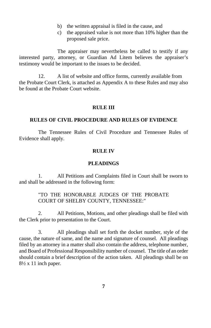- b) the written appraisal is filed in the cause, and
- c) the appraised value is not more than 10% higher than the proposed sale price.

The appraiser may nevertheless be called to testify if any interested party, attorney, or Guardian Ad Litem believes the appraiser's testimony would be important to the issues to be decided.

12. A list of website and office forms, currently available from the Probate Court Clerk, is attached as Appendix A to these Rules and may also be found at the Probate Court website.

# **RULE III**

# **RULES OF CIVIL PROCEDURE AND RULES OF EVIDENCE**

The Tennessee Rules of Civil Procedure and Tennessee Rules of Evidence shall apply.

# **RULE IV**

# **PLEADINGS**

1. All Petitions and Complaints filed in Court shall be sworn to and shall be addressed in the following form:

# "TO THE HONORABLE JUDGES OF THE PROBATE COURT OF SHELBY COUNTY, TENNESSEE:"

2. All Petitions, Motions, and other pleadings shall be filed with the Clerk prior to presentation to the Court.

3. All pleadings shall set forth the docket number, style of the cause, the nature of same, and the name and signature of counsel. All pleadings filed by an attorney in a matter shall also contain the address, telephone number, and Board of Professional Responsibility number of counsel. The title of an order should contain a brief description of the action taken. All pleadings shall be on  $8\frac{1}{2}$  x 11 inch paper.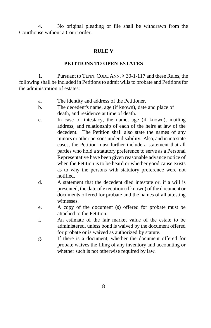4. No original pleading or file shall be withdrawn from the Courthouse without a Court order.

# **RULE V**

# **PETITIONS TO OPEN ESTATES**

1. Pursuant to TENN. CODE ANN. § 30-1-117 and these Rules, the following shall be included in Petitions to admit wills to probate and Petitions for the administration of estates:

- a. The identity and address of the Petitioner.
- b. The decedent's name, age (if known), date and place of death, and residence at time of death.
- c. In case of intestacy, the name, age (if known), mailing address, and relationship of each of the heirs at law of the decedent. The Petition shall also state the names of any minors or other persons under disability. Also, and in intestate cases, the Petition must further include a statement that all parties who hold a statutory preference to serve as a Personal Representative have been given reasonable advance notice of when the Petition is to be heard or whether good cause exists as to why the persons with statutory preference were not notified.
- d. A statement that the decedent died intestate or, if a will is presented, the date of execution (if known) of the document or documents offered for probate and the names of all attesting witnesses.
- e. A copy of the document (s) offered for probate must be attached to the Petition.
- f. An estimate of the fair market value of the estate to be administered, unless bond is waived by the document offered for probate or is waived as authorized by statute.
- g. If there is a document, whether the document offered for probate waives the filing of any inventory and accounting or whether such is not otherwise required by law.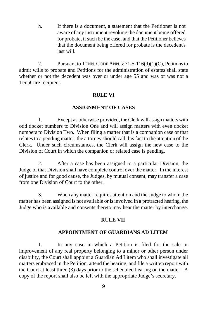h. If there is a document, a statement that the Petitioner is not aware of any instrument revoking the document being offered for probate, if such be the case, and that the Petitioner believes that the document being offered for probate is the decedent's last will.

2. Pursuant to TENN. CODE ANN. § 71-5-116(d)(1)(C), Petitions to admit wills to probate and Petitions for the administration of estates shall state whether or not the decedent was over or under age 55 and was or was not a TennCare recipient.

## **RULE VI**

## **ASSIGNMENT OF CASES**

1. Except as otherwise provided, the Clerk will assign matters with odd docket numbers to Division One and will assign matters with even docket numbers to Division Two. When filing a matter that is a companion case or that relates to a pending matter, the attorney should call this fact to the attention of the Clerk. Under such circumstances, the Clerk will assign the new case to the Division of Court in which the companion or related case is pending.

2. After a case has been assigned to a particular Division, the Judge of that Division shall have complete control over the matter. In the interest of justice and for good cause, the Judges, by mutual consent, may transfer a case from one Division of Court to the other.

3. When any matter requires attention and the Judge to whom the matter has been assigned is not available or is involved in a protracted hearing, the Judge who is available and consents thereto may hear the matter by interchange.

# **RULE VII**

## **APPOINTMENT OF GUARDIANS AD LITEM**

1. In any case in which a Petition is filed for the sale or improvement of any real property belonging to a minor or other person under disability, the Court shall appoint a Guardian Ad Litem who shall investigate all matters embraced in the Petition, attend the hearing, and file a written report with the Court at least three (3) days prior to the scheduled hearing on the matter. A copy of the report shall also be left with the appropriate Judge's secretary.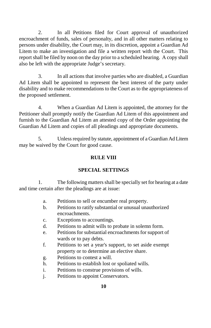2. In all Petitions filed for Court approval of unauthorized encroachment of funds, sales of personalty, and in all other matters relating to persons under disability, the Court may, in its discretion, appoint a Guardian Ad Litem to make an investigation and file a written report with the Court. This report shall be filed by noon on the day prior to a scheduled hearing. A copy shall also be left with the appropriate Judge's secretary.

3. In all actions that involve parties who are disabled, a Guardian Ad Litem shall be appointed to represent the best interest of the party under disability and to make recommendations to the Court as to the appropriateness of the proposed settlement.

4. When a Guardian Ad Litem is appointed, the attorney for the Petitioner shall promptly notify the Guardian Ad Litem of this appointment and furnish to the Guardian Ad Litem an attested copy of the Order appointing the Guardian Ad Litem and copies of all pleadings and appropriate documents.

5. Unless required by statute, appointment of a Guardian Ad Litem may be waived by the Court for good cause.

# **RULE VIII**

# **SPECIAL SETTINGS**

1. The following matters shall be specially set for hearing at a date and time certain after the pleadings are at issue:

- a. Petitions to sell or encumber real property.
- b. Petitions to ratify substantial or unusual unauthorized encroachments.
- c. Exceptions to accountings.
- d. Petitions to admit wills to probate in solemn form.
- e. Petitions for substantial encroachments for support of wards or to pay debts.
- f. Petitions to set a year's support, to set aside exempt property or to determine an elective share.
- g. Petitions to contest a will.
- h. Petitions to establish lost or spoliated wills.
- i. Petitions to construe provisions of wills.
- j. Petitions to appoint Conservators.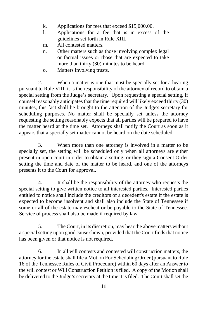- k. Applications for fees that exceed \$15,000.00.
- l. Applications for a fee that is in excess of the guidelines set forth in Rule XIII.
- m. All contested matters.
- n. Other matters such as those involving complex legal or factual issues or those that are expected to take more than thirty (30) minutes to be heard.
- o. Matters involving trusts.

2. When a matter is one that must be specially set for a hearing pursuant to Rule VIII, it is the responsibility of the attorney of record to obtain a special setting from the Judge's secretary. Upon requesting a special setting, if counsel reasonably anticipates that the time required will likely exceed thirty (30) minutes, this fact shall be brought to the attention of the Judge's secretary for scheduling purposes. No matter shall be specially set unless the attorney requesting the setting reasonably expects that all parties will be prepared to have the matter heard at the time set. Attorneys shall notify the Court as soon as it appears that a specially set matter cannot be heard on the date scheduled.

3. When more than one attorney is involved in a matter to be specially set, the setting will be scheduled only when all attorneys are either present in open court in order to obtain a setting, or they sign a Consent Order setting the time and date of the matter to be heard, and one of the attorneys presents it to the Court for approval.

4. It shall be the responsibility of the attorney who requests the special setting to give written notice to all interested parties. Interested parties entitled to notice shall include the creditors of a decedent's estate if the estate is expected to become insolvent and shall also include the State of Tennessee if some or all of the estate may escheat or be payable to the State of Tennessee. Service of process shall also be made if required by law.

5. The Court, in its discretion, may hear the above matters without a special setting upon good cause shown, provided that the Court finds that notice has been given or that notice is not required.

6. In all will contests and contested will construction matters, the attorney for the estate shall file a Motion For Scheduling Order (pursuant to Rule 16 of the Tennessee Rules of Civil Procedure) within 60 days after an Answer to the will contest or Will Construction Petition is filed. A copy of the Motion shall be delivered to the Judge's secretary at the time it is filed. The Court shall set the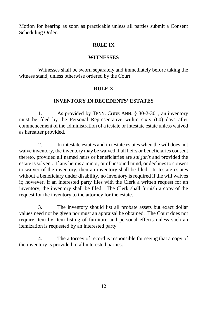Motion for hearing as soon as practicable unless all parties submit a Consent Scheduling Order.

### **RULE IX**

### **WITNESSES**

Witnesses shall be sworn separately and immediately before taking the witness stand, unless otherwise ordered by the Court.

# **RULE X**

#### **INVENTORY IN DECEDENTS' ESTATES**

1. As provided by TENN. CODE ANN. § 30-2-301, an inventory must be filed by the Personal Representative within sixty (60) days after commencement of the administration of a testate or intestate estate unless waived as hereafter provided.

2. In intestate estates and in testate estates when the will does not waive inventory, the inventory may be waived if all heirs or beneficiaries consent thereto, provided all named heirs or beneficiaries are *sui juris* and provided the estate is solvent. If any heir is a minor, or of unsound mind, or declines to consent to waiver of the inventory, then an inventory shall be filed. In testate estates without a beneficiary under disability, no inventory is required if the will waives it; however, if an interested party files with the Clerk a written request for an inventory, the inventory shall be filed. The Clerk shall furnish a copy of the request for the inventory to the attorney for the estate.

3. The inventory should list all probate assets but exact dollar values need not be given nor must an appraisal be obtained. The Court does not require item by item listing of furniture and personal effects unless such an itemization is requested by an interested party.

4. The attorney of record is responsible for seeing that a copy of the inventory is provided to all interested parties.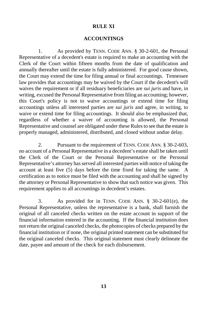#### **RULE XI**

## **ACCOUNTINGS**

1. As provided by TENN. CODE ANN. § 30-2-601, the Personal Representative of a decedent's estate is required to make an accounting with the Clerk of the Court within fifteen months from the date of qualification and annually thereafter until the estate is fully administered. For good cause shown, the Court may extend the time for filing annual or final accountings. Tennessee law provides that accountings may be waived by the Court if the decedent's will waives the requirement or if all residuary beneficiaries are *sui juris* and have, in writing, excused the Personal Representative from filing an accounting; however, this Court's policy is not to waive accountings or extend time for filing accountings unless all interested parties are *sui juris* and agree, in writing, to waive or extend time for filing accountings. It should also be emphasized that, regardless of whether a waiver of accounting is allowed, the Personal Representative and counsel are obligated under these Rules to see that the estate is properly managed, administered, distributed, and closed without undue delay.

2. Pursuant to the requirement of TENN. CODE ANN. § 30-2-603, no account of a Personal Representative in a decedent's estate shall be taken until the Clerk of the Court or the Personal Representative or the Personal Representative's attorney has served all interested parties with notice of taking the account at least five (5) days before the time fixed for taking the same. A certification as to notice must be filed with the accounting and shall be signed by the attorney or Personal Representative to show that such notice was given. This requirement applies to all accountings in decedent's estates.

3. As provided for in TENN. CODE ANN. § 30-2-601(e), the Personal Representative, unless the representative is a bank, shall furnish the original of all canceled checks written on the estate account in support of the financial information entered in the accounting. If the financial institution does not return the original canceled checks, the photocopies of checks prepared by the financial institution or if none, the original printed statement can be substituted for the original canceled checks. This original statement must clearly delineate the date, payee and amount of the check for each disbursement.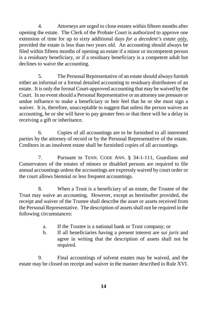4. Attorneys are urged to close estates within fifteen months after opening the estate. The Clerk of the Probate Court is authorized to approve one extension of time for up to sixty additional days *for a decedent's estate only*, provided the estate is less than two years old. An accounting should always be filed within fifteen months of opening an estate if a minor or incompetent person is a residuary beneficiary, or if a residuary beneficiary is a competent adult but declines to waive the accounting.

5. The Personal Representative of an estate should always furnish either an informal or a formal detailed accounting to residuary distributees of an estate. It is only the formal Court-approved accounting that may be waived by the Court. In no event should a Personal Representative or an attorney use pressure or undue influence to make a beneficiary or heir feel that he or she must sign a waiver. It is, therefore, unacceptable to suggest that unless the person waives an accounting, he or she will have to pay greater fees or that there will be a delay in receiving a gift or inheritance.

6. Copies of all accountings are to be furnished to all interested parties by the attorney of record or by the Personal Representative of the estate. Creditors in an insolvent estate shall be furnished copies of all accountings.

7. Pursuant to TENN. CODE ANN. § 34-1-111, Guardians and Conservators of the estates of minors or disabled persons are required to file annual accountings unless the accountings are expressly waived by court order or the court allows biennial or less frequent accountings.

8. When a Trust is a beneficiary of an estate, the Trustee of the Trust may waive an accounting. However, except as hereinafter provided, the receipt and waiver of the Trustee shall describe the asset or assets received from the Personal Representative. The description of assets shall not be required in the following circumstances:

- a. If the Trustee is a national bank or Trust company; or
- b. If all beneficiaries having a present interest are *sui juris* and agree in writing that the description of assets shall not be required.

9. Final accountings of solvent estates may be waived, and the estate may be closed on receipt and waiver in the manner described in Rule XVI.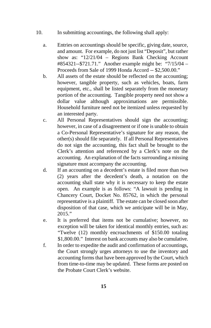- 10. In submitting accountings, the following shall apply:
	- a. Entries on accountings should be specific, giving date, source, and amount. For example, do not just list "Deposit", but rather show as: "12/21/04 – Regions Bank Checking Account #854321--\$721.71." Another example might be: "7/15/04 – Proceeds from Sale of 1999 Honda Accord -- \$2,500.00."
	- b. All assets of the estate should be reflected on the accounting; however, tangible property, such as vehicles, boats, farm equipment, etc., shall be listed separately from the monetary portion of the accounting. Tangible property need not show a dollar value although approximations are permissible. Household furniture need not be itemized unless requested by an interested party.
	- c. All Personal Representatives should sign the accounting; however, in case of a disagreement or if one is unable to obtain a Co-Personal Representative's signature for any reason, the other(s) should file separately. If all Personal Representatives do not sign the accounting, this fact shall be brought to the Clerk's attention and referenced by a Clerk's note on the accounting. An explanation of the facts surrounding a missing signature must accompany the accounting.
	- d. If an accounting on a decedent's estate is filed more than two (2) years after the decedent's death, a notation on the accounting shall state why it is necessary to keep the estate open. An example is as follows: "A lawsuit is pending in Chancery Court, Docket No. 85762, in which the personal representative is a plaintiff. The estate can be closed soon after disposition of that case, which we anticipate will be in May, 2015."
	- e. It is preferred that items not be cumulative; however, no exception will be taken for identical monthly entries, such as: "Twelve (12) monthly encroachments of \$150.00 totaling \$1,800.00." Interest on bank accounts may also be cumulative.
	- f. In order to expedite the audit and confirmation of accountings, the Court strongly urges attorneys to use the inventory and accounting forms that have been approved by the Court, which from time-to-time may be updated. These forms are posted on the Probate Court Clerk's website.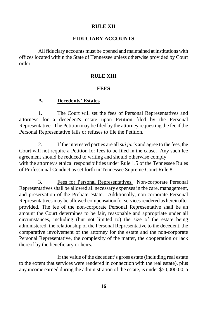## **RULE XII**

#### **FIDUCIARY ACCOUNTS**

All fiduciary accounts must be opened and maintained at institutions with offices located within the State of Tennessee unless otherwise provided by Court order.

## **RULE XIII**

#### **FEES**

#### **A. Decedents' Estates**

1. The Court will set the fees of Personal Representatives and attorneys for a decedent's estate upon Petition filed by the Personal Representative. The Petition may be filed by the attorney requesting the fee if the Personal Representative fails or refuses to file the Petition.

2. If the interested parties are all *sui juris* and agree to the fees, the Court will not require a Petition for fees to be filed in the cause. Any such fee agreement should be reduced to writing and should otherwise comply with the attorney's ethical responsibilities under Rule 1.5 of the Tennessee Rules of Professional Conduct as set forth in Tennessee Supreme Court Rule 8.

3. Fees for Personal Representatives. Non-corporate Personal Representatives shall be allowed all necessary expenses in the care, management, and preservation of the Probate estate. Additionally, non-corporate Personal Representatives may be allowed compensation for services rendered as hereinafter provided. The fee of the non-corporate Personal Representative shall be an amount the Court determines to be fair, reasonable and appropriate under all circumstances, including (but not limited to) the size of the estate being administered, the relationship of the Personal Representative to the decedent, the comparative involvement of the attorney for the estate and the non-corporate Personal Representative, the complexity of the matter, the cooperation or lack thereof by the beneficiary or heirs.

If the value of the decedent's gross estate (including real estate to the extent that services were rendered in connection with the real estate), plus any income earned during the administration of the estate, is under \$50,000.00, a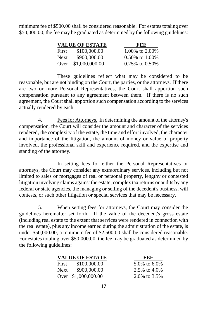minimum fee of \$500.00 shall be considered reasonable. For estates totaling over \$50,000.00, the fee may be graduated as determined by the following guidelines:

|             | <b>VALUE OF ESTATE</b> | FEE                  |
|-------------|------------------------|----------------------|
| First       | \$100,000.00           | 1.00\% to 2.00\%     |
| <b>Next</b> | \$900,000.00           | $0.50\%$ to 1.00%    |
| Over        | \$1,000,000.00         | $0.25\%$ to $0.50\%$ |

These guidelines reflect what may be considered to be reasonable, but are not binding on the Court, the parties, or the attorneys. If there are two or more Personal Representatives, the Court shall apportion such compensation pursuant to any agreement between them. If there is no such agreement, the Court shall apportion such compensation according to the services actually rendered by each.

4. Fees for Attorneys. In determining the amount of the attorney's compensation, the Court will consider the amount and character of the services rendered, the complexity of the estate, the time and effort involved, the character and importance of the litigation, the amount of money or value of property involved, the professional skill and experience required, and the expertise and standing of the attorney.

In setting fees for either the Personal Representatives or attorneys, the Court may consider any extraordinary services, including but not limited to sales or mortgages of real or personal property, lengthy or contested litigation involving claims against the estate, complex tax returns or audits by any federal or state agencies, the managing or selling of the decedent's business, will contests, or such other litigation or special services that may be necessary.

5. When setting fees for attorneys, the Court may consider the guidelines hereinafter set forth. If the value of the decedent's gross estate (including real estate to the extent that services were rendered in connection with the real estate), plus any income earned during the administration of the estate, is under \$50,000.00, a minimum fee of \$2,500.00 shall be considered reasonable. For estates totaling over \$50,000.00, the fee may be graduated as determined by the following guidelines:

|             | <b>VALUE OF ESTATE</b> | FEE              |  |
|-------------|------------------------|------------------|--|
| First       | \$100,000.00           | 5.0\% to 6.0\%   |  |
| <b>Next</b> | \$900,000.00           | 2.5\% to 4.0\%   |  |
|             | Over \$1,000,000.00    | 2.0\% to $3.5\%$ |  |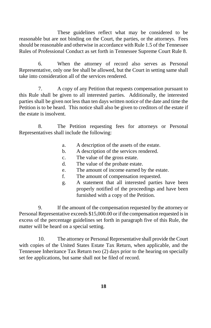These guidelines reflect what may be considered to be reasonable but are not binding on the Court, the parties, or the attorneys. Fees should be reasonable and otherwise in accordance with Rule 1.5 of the Tennessee Rules of Professional Conduct as set forth in Tennessee Supreme Court Rule 8.

6. When the attorney of record also serves as Personal Representative, only one fee shall be allowed, but the Court in setting same shall take into consideration all of the services rendered.

7. A copy of any Petition that requests compensation pursuant to this Rule shall be given to all interested parties. Additionally, the interested parties shall be given not less than ten days written notice of the date and time the Petition is to be heard. This notice shall also be given to creditors of the estate if the estate is insolvent.

8. The Petition requesting fees for attorneys or Personal Representatives shall include the following:

- a. A description of the assets of the estate.
- b. A description of the services rendered.
- c. The value of the gross estate.
- d. The value of the probate estate.
- e. The amount of income earned by the estate.
- f. The amount of compensation requested.
- g. A statement that all interested parties have been properly notified of the proceedings and have been furnished with a copy of the Petition.

9. If the amount of the compensation requested by the attorney or Personal Representative exceeds \$15,000.00 or if the compensation requested is in excess of the percentage guidelines set forth in paragraph five of this Rule, the matter will be heard on a special setting.

10. The attorney or Personal Representative shall provide the Court with copies of the United States Estate Tax Return, when applicable, and the Tennessee Inheritance Tax Return two (2) days prior to the hearing on specially set fee applications, but same shall not be filed of record.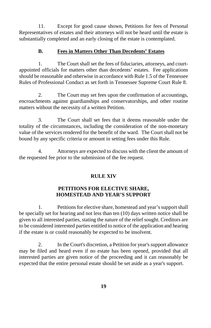11. Except for good cause shown, Petitions for fees of Personal Representatives of estates and their attorneys will not be heard until the estate is substantially completed and an early closing of the estate is contemplated.

# **B. Fees in Matters Other Than Decedents' Estates**

1. The Court shall set the fees of fiduciaries, attorneys, and courtappointed officials for matters other than decedents' estates. Fee applications should be reasonable and otherwise in accordance with Rule 1.5 of the Tennessee Rules of Professional Conduct as set forth in Tennessee Supreme Court Rule 8.

2. The Court may set fees upon the confirmation of accountings, encroachments against guardianships and conservatorships, and other routine matters without the necessity of a written Petition.

3. The Court shall set fees that it deems reasonable under the totality of the circumstances, including the consideration of the non-monetary value of the services rendered for the benefit of the ward. The Court shall not be bound by any specific criteria or amount in setting fees under this Rule.

4. Attorneys are expected to discuss with the client the amount of the requested fee prior to the submission of the fee request.

# **RULE XIV**

# **PETITIONS FOR ELECTIVE SHARE, HOMESTEAD AND YEAR'S SUPPORT**

1. Petitions for elective share, homestead and year's support shall be specially set for hearing and not less than ten (10) days written notice shall be given to all interested parties, stating the nature of the relief sought. Creditors are to be considered interested parties entitled to notice of the application and hearing if the estate is or could reasonably be expected to be insolvent.

2. In the Court's discretion, a Petition for year's support allowance may be filed and heard even if no estate has been opened, provided that all interested parties are given notice of the proceeding and it can reasonably be expected that the entire personal estate should be set aside as a year's support.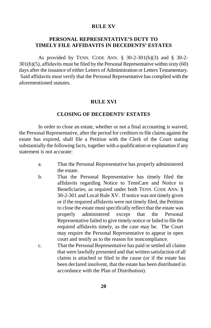## **RULE XV**

# **PERSONAL REPRESENTATIVE'S DUTY TO TIMELY FILE AFFIDAVITS IN DECEDENTS' ESTATES**

As provided by TENN. CODE ANN. § 30-2-301(b)(3) and § 30-2- 301(b)(5), affidavits must be filed by the Personal Representative within sixty (60) days after the issuance of either Letters of Administration or Letters Testamentary. Said affidavits must verify that the Personal Representative has complied with the aforementioned statutes.

#### **RULE XVI**

#### **CLOSING OF DECEDENTS' ESTATES**

In order to close an estate, whether or not a final accounting is waived, the Personal Representative, after the period for creditors to file claims against the estate has expired, shall file a Petition with the Clerk of the Court stating substantially the following facts, together with a qualification or explanation if any statement is not accurate:

- a. That the Personal Representative has properly administered the estate.
- b. That the Personal Representative has timely filed the affidavits regarding Notice to TennCare and Notice to Beneficiaries, as required under both TENN. CODE ANN. § 30-2-301 and Local Rule XV. If notice was not timely given or if the required affidavits were not timely filed, the Petition to close the estate must specifically reflect that the estate was properly administered except that the Personal Representative failed to give timely notice or failed to file the required affidavits timely, as the case may be. The Court may require the Personal Representative to appear in open court and testify as to the reason for noncompliance.
- c. That the Personal Representative has paid or settled all claims that were lawfully presented and that written satisfaction of all claims is attached or filed in the cause (or if the estate has been declared insolvent, that the estate has been distributed in accordance with the Plan of Distribution).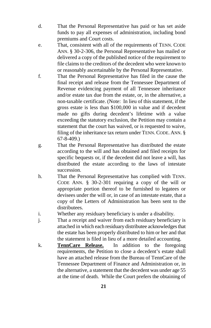- d. That the Personal Representative has paid or has set aside funds to pay all expenses of administration, including bond premiums and Court costs.
- e. That, consistent with all of the requirements of TENN. CODE ANN. § 30-2-306, the Personal Representative has mailed or delivered a copy of the published notice of the requirement to file claims to the creditors of the decedent who were known to or reasonably ascertainable by the Personal Representative.
- f. That the Personal Representative has filed in the cause the final receipt and release from the Tennessee Department of Revenue evidencing payment of all Tennessee inheritance and/or estate tax due from the estate, or, in the alternative, a non-taxable certificate. (Note: In lieu of this statement, if the gross estate is less than \$100,000 in value and if decedent made no gifts during decedent's lifetime with a value exceeding the statutory exclusion, the Petition may contain a statement that the court has waived, or is requested to waive, filing of the inheritance tax return under TENN. CODE. ANN. § 67-8-409.)
- g. That the Personal Representative has distributed the estate according to the will and has obtained and filed receipts for specific bequests or, if the decedent did not leave a will, has distributed the estate according to the laws of intestate succession.
- h. That the Personal Representative has complied with TENN. CODE ANN. § 30-2-301 requiring a copy of the will or appropriate portion thereof to be furnished to legatees or devisees under the will or, in case of an intestate estate, that a copy of the Letters of Administration has been sent to the distributees.
- i. Whether any residuary beneficiary is under a disability.
- j. That a receipt and waiver from each residuary beneficiary is attached in which each residuary distributee acknowledges that the estate has been properly distributed to him or her and that the statement is filed in lieu of a more detailed accounting.
- k. **TennCare Release.** In addition to the foregoing requirements, the Petition to close a decedent's estate shall have an attached release from the Bureau of TennCare of the Tennessee Department of Finance and Administration or, in the alternative, a statement that the decedent was under age 55 at the time of death. While the Court prefers the obtaining of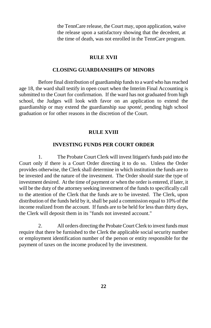the TennCare release, the Court may, upon application, waive the release upon a satisfactory showing that the decedent, at the time of death, was not enrolled in the TennCare program.

## **RULE XVII**

#### **CLOSING GUARDIANSHIPS OF MINORS**

Before final distribution of guardianship funds to a ward who has reached age 18, the ward shall testify in open court when the Interim Final Accounting is submitted to the Court for confirmation. If the ward has not graduated from high school, the Judges will look with favor on an application to extend the guardianship or may extend the guardianship *sua sponté*, pending high school graduation or for other reasons in the discretion of the Court.

#### **RULE XVIII**

## **INVESTING FUNDS PER COURT ORDER**

1. The Probate Court Clerk will invest litigant's funds paid into the Court only if there is a Court Order directing it to do so. Unless the Order provides otherwise, the Clerk shall determine in which institution the funds are to be invested and the nature of the investment. The Order should state the type of investment desired. At the time of payment or when the order is entered, if later, it will be the duty of the attorney seeking investment of the funds to specifically call to the attention of the Clerk that the funds are to be invested. The Clerk, upon distribution of the funds held by it, shall be paid a commission equal to 10% of the income realized from the account. If funds are to be held for less than thirty days, the Clerk will deposit them in its "funds not invested account."

2. All orders directing the Probate Court Clerk to invest funds must require that there be furnished to the Clerk the applicable social security number or employment identification number of the person or entity responsible for the payment of taxes on the income produced by the investment.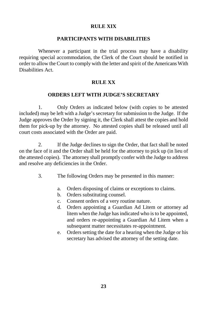# **RULE XIX**

#### **PARTICIPANTS WITH DISABILITIES**

Whenever a participant in the trial process may have a disability requiring special accommodation, the Clerk of the Court should be notified in order to allow the Court to comply with the letter and spirit of the Americans With Disabilities Act.

# **RULE XX**

#### **ORDERS LEFT WITH JUDGE'S SECRETARY**

1. Only Orders as indicated below (with copies to be attested included) may be left with a Judge's secretary for submission to the Judge. If the Judge approves the Order by signing it, the Clerk shall attest the copies and hold them for pick-up by the attorney. No attested copies shall be released until all court costs associated with the Order are paid.

2. If the Judge declines to sign the Order, that fact shall be noted on the face of it and the Order shall be held for the attorney to pick up (in lieu of the attested copies). The attorney shall promptly confer with the Judge to address and resolve any deficiencies in the Order.

- 3. The following Orders may be presented in this manner:
	- a. Orders disposing of claims or exceptions to claims.
	- b. Orders substituting counsel.
	- c. Consent orders of a very routine nature.
	- d. Orders appointing a Guardian Ad Litem or attorney ad litem when the Judge has indicated who is to be appointed, and orders re-appointing a Guardian Ad Litem when a subsequent matter necessitates re-appointment.
	- e. Orders setting the date for a hearing when the Judge or his secretary has advised the attorney of the setting date.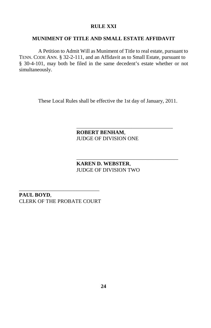# **RULE XXI**

# **MUNIMENT OF TITLE AND SMALL ESTATE AFFIDAVIT**

A Petition to Admit Will as Muniment of Title to real estate, pursuant to TENN. CODE ANN. § 32-2-111, and an Affidavit as to Small Estate, pursuant to § 30-4-101, may both be filed in the same decedent's estate whether or not simultaneously.

These Local Rules shall be effective the 1st day of January, 2011.

**ROBERT BENHAM**, JUDGE OF DIVISION ONE

\_\_\_\_\_\_\_\_\_\_\_\_\_\_\_\_\_\_\_\_\_\_\_\_\_\_\_\_\_\_\_\_\_\_\_\_

\_\_\_\_\_\_\_\_\_\_\_\_\_\_\_\_\_\_\_\_\_\_\_\_\_\_\_\_\_\_\_\_\_\_\_\_\_\_

**KAREN D. WEBSTER**, JUDGE OF DIVISION TWO

\_\_\_\_\_\_\_\_\_\_\_\_\_\_\_\_\_\_\_\_\_\_\_\_\_\_\_\_\_\_ **PAUL BOYD**, CLERK OF THE PROBATE COURT